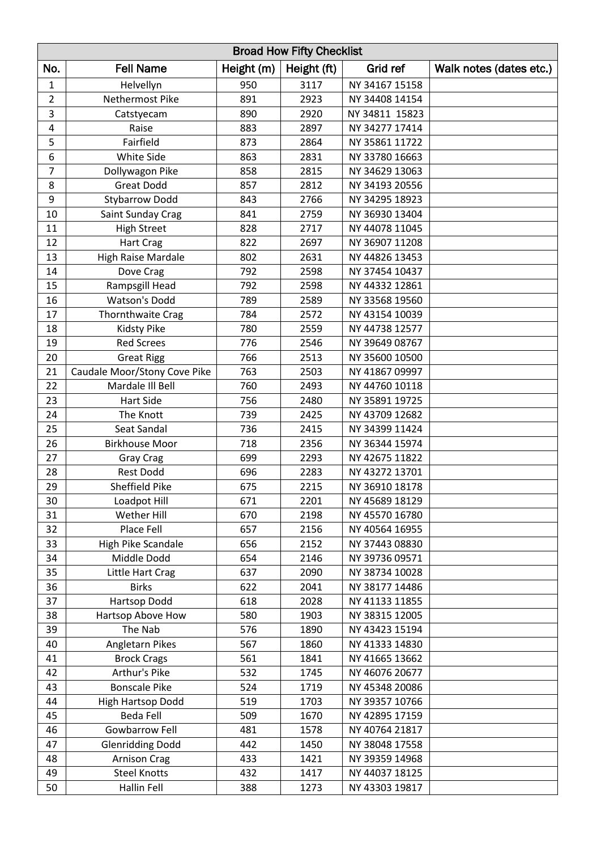| <b>Broad How Fifty Checklist</b> |                              |            |             |                |                         |
|----------------------------------|------------------------------|------------|-------------|----------------|-------------------------|
| No.                              | <b>Fell Name</b>             | Height (m) | Height (ft) | Grid ref       | Walk notes (dates etc.) |
| $\mathbf{1}$                     | Helvellyn                    | 950        | 3117        | NY 34167 15158 |                         |
| $\overline{2}$                   | Nethermost Pike              | 891        | 2923        | NY 34408 14154 |                         |
| 3                                | Catstyecam                   | 890        | 2920        | NY 34811 15823 |                         |
| 4                                | Raise                        | 883        | 2897        | NY 34277 17414 |                         |
| 5                                | Fairfield                    | 873        | 2864        | NY 35861 11722 |                         |
| 6                                | White Side                   | 863        | 2831        | NY 33780 16663 |                         |
| $\overline{7}$                   | Dollywagon Pike              | 858        | 2815        | NY 34629 13063 |                         |
| 8                                | <b>Great Dodd</b>            | 857        | 2812        | NY 34193 20556 |                         |
| $\boldsymbol{9}$                 | <b>Stybarrow Dodd</b>        | 843        | 2766        | NY 34295 18923 |                         |
| 10                               | Saint Sunday Crag            | 841        | 2759        | NY 36930 13404 |                         |
| 11                               | <b>High Street</b>           | 828        | 2717        | NY 44078 11045 |                         |
| 12                               | <b>Hart Crag</b>             | 822        | 2697        | NY 36907 11208 |                         |
| 13                               | <b>High Raise Mardale</b>    | 802        | 2631        | NY 44826 13453 |                         |
| 14                               | Dove Crag                    | 792        | 2598        | NY 37454 10437 |                         |
| 15                               | Rampsgill Head               | 792        | 2598        | NY 44332 12861 |                         |
| 16                               | <b>Watson's Dodd</b>         | 789        | 2589        | NY 33568 19560 |                         |
| 17                               | <b>Thornthwaite Crag</b>     | 784        | 2572        | NY 43154 10039 |                         |
| 18                               | Kidsty Pike                  | 780        | 2559        | NY 44738 12577 |                         |
| 19                               | <b>Red Screes</b>            | 776        | 2546        | NY 39649 08767 |                         |
| 20                               | <b>Great Rigg</b>            | 766        | 2513        | NY 35600 10500 |                         |
| 21                               | Caudale Moor/Stony Cove Pike | 763        | 2503        | NY 41867 09997 |                         |
| 22                               | Mardale III Bell             | 760        | 2493        | NY 44760 10118 |                         |
| 23                               | Hart Side                    | 756        | 2480        | NY 35891 19725 |                         |
| 24                               | The Knott                    | 739        | 2425        | NY 43709 12682 |                         |
| 25                               | Seat Sandal                  | 736        | 2415        | NY 34399 11424 |                         |
| 26                               | <b>Birkhouse Moor</b>        | 718        | 2356        | NY 36344 15974 |                         |
| 27                               | <b>Gray Crag</b>             | 699        | 2293        | NY 42675 11822 |                         |
| 28                               | <b>Rest Dodd</b>             | 696        | 2283        | NY 43272 13701 |                         |
| 29                               | <b>Sheffield Pike</b>        | 675        | 2215        | NY 36910 18178 |                         |
| 30                               | Loadpot Hill                 | 671        | 2201        | NY 45689 18129 |                         |
| 31                               | Wether Hill                  | 670        | 2198        | NY 45570 16780 |                         |
| 32                               | Place Fell                   | 657        | 2156        | NY 40564 16955 |                         |
| 33                               | High Pike Scandale           | 656        | 2152        | NY 37443 08830 |                         |
| 34                               | Middle Dodd                  | 654        | 2146        | NY 39736 09571 |                         |
| 35                               | Little Hart Crag             | 637        | 2090        | NY 38734 10028 |                         |
| 36                               | <b>Birks</b>                 | 622        | 2041        | NY 38177 14486 |                         |
| 37                               | Hartsop Dodd                 | 618        | 2028        | NY 41133 11855 |                         |
| 38                               | Hartsop Above How            | 580        | 1903        | NY 38315 12005 |                         |
| 39                               | The Nab                      | 576        | 1890        | NY 43423 15194 |                         |
| 40                               | Angletarn Pikes              | 567        | 1860        | NY 41333 14830 |                         |
| 41                               | <b>Brock Crags</b>           | 561        | 1841        | NY 41665 13662 |                         |
| 42                               | Arthur's Pike                | 532        | 1745        | NY 46076 20677 |                         |
| 43                               | <b>Bonscale Pike</b>         | 524        | 1719        | NY 45348 20086 |                         |
| 44                               | High Hartsop Dodd            | 519        | 1703        | NY 39357 10766 |                         |
| 45                               | <b>Beda Fell</b>             | 509        | 1670        | NY 42895 17159 |                         |
| 46                               | Gowbarrow Fell               | 481        | 1578        | NY 40764 21817 |                         |
| 47                               | <b>Glenridding Dodd</b>      | 442        | 1450        | NY 38048 17558 |                         |
| 48                               | <b>Arnison Crag</b>          | 433        | 1421        | NY 39359 14968 |                         |
| 49                               | <b>Steel Knotts</b>          | 432        | 1417        | NY 44037 18125 |                         |
| 50                               | Hallin Fell                  | 388        | 1273        | NY 43303 19817 |                         |